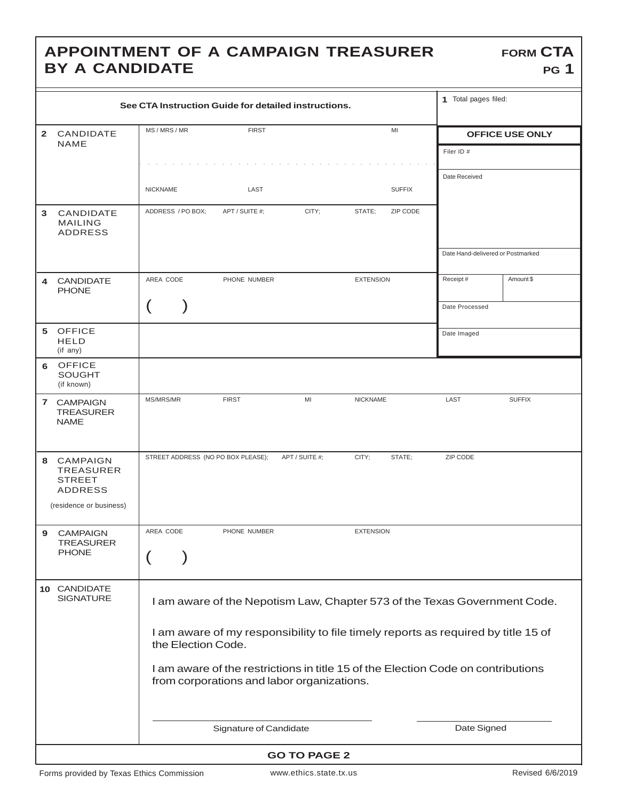## **APPOINTMENT OF A CAMPAIGN TREASURER BY A CANDIDATE**

| See CTA Instruction Guide for detailed instructions. |                                                                                  |                                                                           |                                    |                        |                                                                                   |                                   | 1 Total pages filed:   |  |
|------------------------------------------------------|----------------------------------------------------------------------------------|---------------------------------------------------------------------------|------------------------------------|------------------------|-----------------------------------------------------------------------------------|-----------------------------------|------------------------|--|
|                                                      |                                                                                  |                                                                           | <b>FIRST</b>                       |                        | MI                                                                                |                                   |                        |  |
| $\mathbf{2}$                                         | CANDIDATE<br><b>NAME</b>                                                         | MS / MRS / MR                                                             |                                    |                        |                                                                                   |                                   | <b>OFFICE USE ONLY</b> |  |
|                                                      |                                                                                  |                                                                           |                                    |                        |                                                                                   | Filer ID #                        |                        |  |
|                                                      |                                                                                  |                                                                           |                                    |                        |                                                                                   | Date Received                     |                        |  |
|                                                      |                                                                                  | <b>NICKNAME</b>                                                           | LAST                               |                        | <b>SUFFIX</b>                                                                     |                                   |                        |  |
|                                                      |                                                                                  |                                                                           |                                    |                        |                                                                                   |                                   |                        |  |
| 3                                                    | CANDIDATE<br><b>MAILING</b>                                                      | ADDRESS / PO BOX;                                                         | APT / SUITE #;                     | CITY:                  | ZIP CODE<br>STATE;                                                                |                                   |                        |  |
|                                                      | <b>ADDRESS</b>                                                                   |                                                                           |                                    |                        |                                                                                   |                                   |                        |  |
|                                                      |                                                                                  |                                                                           |                                    |                        |                                                                                   | Date Hand-delivered or Postmarked |                        |  |
|                                                      |                                                                                  |                                                                           |                                    |                        |                                                                                   |                                   |                        |  |
| 4                                                    | <b>CANDIDATE</b>                                                                 | AREA CODE                                                                 | PHONE NUMBER                       |                        | <b>EXTENSION</b>                                                                  | Receipt#                          | Amount \$              |  |
|                                                      | <b>PHONE</b>                                                                     |                                                                           |                                    |                        |                                                                                   |                                   |                        |  |
|                                                      |                                                                                  |                                                                           |                                    |                        |                                                                                   | Date Processed                    |                        |  |
| 5                                                    | <b>OFFICE</b>                                                                    |                                                                           |                                    |                        |                                                                                   |                                   |                        |  |
|                                                      | <b>HELD</b>                                                                      |                                                                           |                                    |                        |                                                                                   | Date Imaged                       |                        |  |
|                                                      | (if any)                                                                         |                                                                           |                                    |                        |                                                                                   |                                   |                        |  |
| 6                                                    | <b>OFFICE</b><br><b>SOUGHT</b>                                                   |                                                                           |                                    |                        |                                                                                   |                                   |                        |  |
|                                                      | (if known)                                                                       |                                                                           |                                    |                        |                                                                                   |                                   |                        |  |
|                                                      | 7 CAMPAIGN                                                                       | MS/MRS/MR                                                                 | <b>FIRST</b>                       | MI                     | <b>NICKNAME</b>                                                                   | LAST                              | <b>SUFFIX</b>          |  |
|                                                      | <b>TREASURER</b><br><b>NAME</b>                                                  |                                                                           |                                    |                        |                                                                                   |                                   |                        |  |
|                                                      |                                                                                  |                                                                           |                                    |                        |                                                                                   |                                   |                        |  |
|                                                      |                                                                                  |                                                                           |                                    |                        |                                                                                   |                                   |                        |  |
| 8                                                    | CAMPAIGN<br><b>TREASURER</b>                                                     |                                                                           | STREET ADDRESS (NO PO BOX PLEASE); | APT / SUITE #;         | CITY;<br>STATE;                                                                   | ZIP CODE                          |                        |  |
|                                                      | <b>STREET</b>                                                                    |                                                                           |                                    |                        |                                                                                   |                                   |                        |  |
|                                                      | <b>ADDRESS</b>                                                                   |                                                                           |                                    |                        |                                                                                   |                                   |                        |  |
|                                                      | (residence or business)                                                          |                                                                           |                                    |                        |                                                                                   |                                   |                        |  |
| 9                                                    | <b>CAMPAIGN</b>                                                                  | AREA CODE                                                                 | PHONE NUMBER                       |                        | <b>EXTENSION</b>                                                                  |                                   |                        |  |
|                                                      | <b>TREASURER</b>                                                                 |                                                                           |                                    |                        |                                                                                   |                                   |                        |  |
|                                                      | <b>PHONE</b>                                                                     |                                                                           |                                    |                        |                                                                                   |                                   |                        |  |
|                                                      |                                                                                  |                                                                           |                                    |                        |                                                                                   |                                   |                        |  |
|                                                      | 10 CANDIDATE<br><b>SIGNATURE</b>                                                 |                                                                           |                                    |                        |                                                                                   |                                   |                        |  |
|                                                      |                                                                                  | I am aware of the Nepotism Law, Chapter 573 of the Texas Government Code. |                                    |                        |                                                                                   |                                   |                        |  |
|                                                      |                                                                                  |                                                                           |                                    |                        |                                                                                   |                                   |                        |  |
| the Election Code.                                   |                                                                                  |                                                                           |                                    |                        | I am aware of my responsibility to file timely reports as required by title 15 of |                                   |                        |  |
|                                                      |                                                                                  |                                                                           |                                    |                        |                                                                                   |                                   |                        |  |
|                                                      | I am aware of the restrictions in title 15 of the Election Code on contributions |                                                                           |                                    |                        |                                                                                   |                                   |                        |  |
|                                                      |                                                                                  | from corporations and labor organizations.                                |                                    |                        |                                                                                   |                                   |                        |  |
|                                                      |                                                                                  |                                                                           |                                    |                        |                                                                                   |                                   |                        |  |
|                                                      |                                                                                  |                                                                           |                                    |                        |                                                                                   |                                   |                        |  |
|                                                      |                                                                                  |                                                                           |                                    | Signature of Candidate |                                                                                   |                                   | Date Signed            |  |
| <b>GO TO PAGE 2</b>                                  |                                                                                  |                                                                           |                                    |                        |                                                                                   |                                   |                        |  |
|                                                      |                                                                                  |                                                                           |                                    |                        |                                                                                   |                                   |                        |  |

**FORM CTA**

**PG 1**